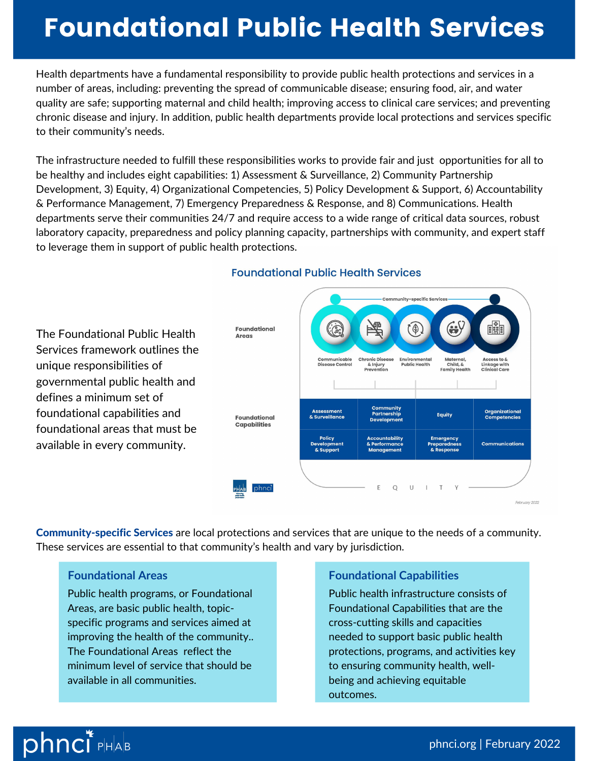# Foundational Public Health Services

Health departments have a fundamental responsibility to provide public health protections and services in a number of areas, including: preventing the spread of communicable disease; ensuring food, air, and water quality are safe; supporting maternal and child health; improving access to clinical care services; and preventing chronic disease and injury. In addition, public health departments provide local protections and services specific to their community's needs.

The infrastructure needed to fulfill these responsibilities works to provide fair and just opportunities for all to be healthy and includes eight capabilities: 1) Assessment & Surveillance, 2) Community Partnership Development, 3) Equity, 4) Organizational Competencies, 5) Policy Development & Support, 6) Accountability & Performance Management, 7) Emergency Preparedness & Response, and 8) Communications. Health departments serve their communities 24/7 and require access to a wide range of critical data sources, robust laboratory capacity, preparedness and policy planning capacity, partnerships with community, and expert staff to leverage them in support of public health protections.



#### **Foundational Public Health Services**

Community-specific Services are local protections and services that are unique to the needs of a community. These services are essential to that community's health and vary by jurisdiction.

# **Foundational Areas**

Public health programs, or Foundational Areas, are basic public health, topicspecific programs and services aimed at improving the health of the community.. The Foundational Areas reflect the minimum level of service that should be available in all communities.

# **Foundational Capabilities**

Public health infrastructure consists of Foundational Capabilities that are the cross-cutting skills and capacities needed to support basic public health protections, programs, and activities key to ensuring community health, wellbeing and achieving equitable outcomes.

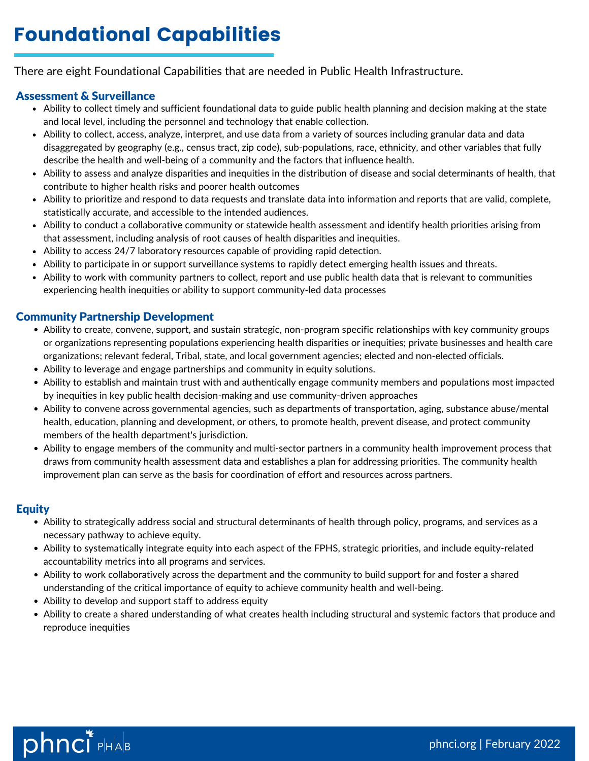There are eight Foundational Capabilities that are needed in Public Health Infrastructure.

# Assessment & Surveillance

- Ability to collect timely and sufficient foundational data to guide public health planning and decision making at the state and local level, including the personnel and technology that enable collection.
- Ability to collect, access, analyze, interpret, and use data from a variety of sources including granular data and data disaggregated by geography (e.g., census tract, zip code), sub-populations, race, ethnicity, and other variables that fully describe the health and well-being of a community and the factors that influence health.
- Ability to assess and analyze disparities and inequities in the distribution of disease and social determinants of health, that contribute to higher health risks and poorer health outcomes
- Ability to prioritize and respond to data requests and translate data into information and reports that are valid, complete, statistically accurate, and accessible to the intended audiences.
- Ability to conduct a collaborative community or statewide health assessment and identify health priorities arising from that assessment, including analysis of root causes of health disparities and inequities.
- Ability to access 24/7 laboratory resources capable of providing rapid detection.
- Ability to participate in or support surveillance systems to rapidly detect emerging health issues and threats.
- Ability to work with community partners to collect, report and use public health data that is relevant to communities experiencing health inequities or ability to support community-led data processes

# Community Partnership Development

- Ability to create, convene, support, and sustain strategic, non-program specific relationships with key community groups or organizations representing populations experiencing health disparities or inequities; private businesses and health care organizations; relevant federal, Tribal, state, and local government agencies; elected and non-elected officials.
- Ability to leverage and engage partnerships and community in equity solutions.
- Ability to establish and maintain trust with and authentically engage community members and populations most impacted by inequities in key public health decision-making and use community-driven approaches
- Ability to convene across governmental agencies, such as departments of transportation, aging, substance abuse/mental health, education, planning and development, or others, to promote health, prevent disease, and protect community members of the health department's jurisdiction.
- Ability to engage members of the community and multi-sector partners in a community health improvement process that draws from community health assessment data and establishes a plan for addressing priorities. The community health improvement plan can serve as the basis for coordination of effort and resources across partners.

# **Equity**

- Ability to strategically address social and structural determinants of health through policy, programs, and services as a necessary pathway to achieve equity.
- Ability to systematically integrate equity into each aspect of the FPHS, strategic priorities, and include equity-related accountability metrics into all programs and services.
- Ability to work collaboratively across the department and the community to build support for and foster a shared understanding of the critical importance of equity to achieve community health and well-being.
- Ability to develop and support staff to address equity
- Ability to create a shared understanding of what creates health including structural and systemic factors that produce and reproduce inequities

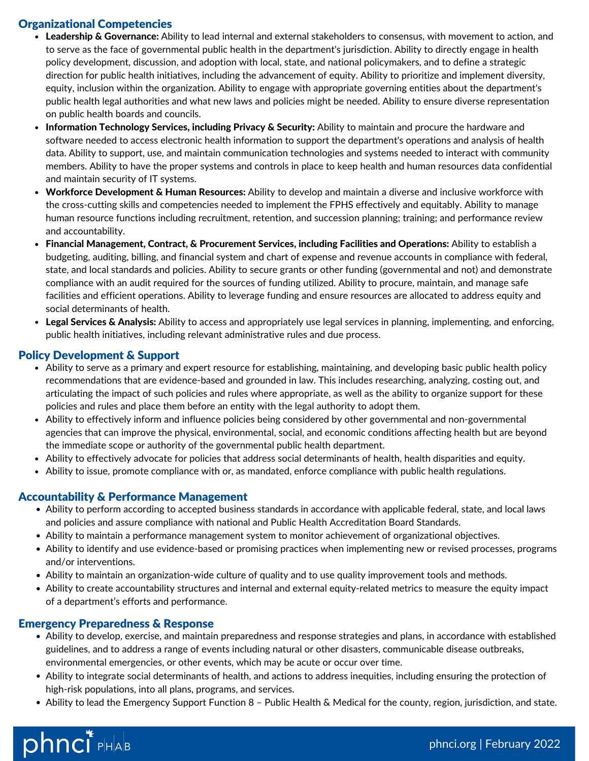# Organizational Competencies

- Leadership & Governance: Ability to lead internal and external stakeholders to consensus, with movement to action, and to serve as the face of governmental public health in the department's jurisdiction. Ability to directly engage in health policy development, discussion, and adoption with local, state, and national policymakers, and to define a strategic direction for public health initiatives, including the advancement of equity. Ability to prioritize and implement diversity, equity, inclusion within the organization. Ability to engage with appropriate governing entities about the department's public health legal authorities and what new laws and policies might be needed. Ability to ensure diverse representation on public health boards and councils.
- Information Technology Services, including Privacy & Security: Ability to maintain and procure the hardware and software needed to access electronic health information to support the department's operations and analysis of health data. Ability to support, use, and maintain communication technologies and systems needed to interact with community members. Ability to have the proper systems and controls in place to keep health and human resources data confidential and maintain security of IT systems.
- Workforce Development & Human Resources: Ability to develop and maintain a diverse and inclusive workforce with the cross-cutting skills and competencies needed to implement the FPHS effectively and equitably. Ability to manage human resource functions including recruitment, retention, and succession planning; training; and performance review and accountability.
- Financial Management, Contract, & Procurement Services, including Facilities and Operations: Ability to establish a budgeting, auditing, billing, and financial system and chart of expense and revenue accounts in compliance with federal, state, and local standards and policies. Ability to secure grants or other funding (governmental and not) and demonstrate compliance with an audit required for the sources of funding utilized. Ability to procure, maintain, and manage safe facilities and efficient operations. Ability to leverage funding and ensure resources are allocated to address equity and social determinants of health.
- Legal Services & Analysis: Ability to access and appropriately use legal services in planning, implementing, and enforcing, public health initiatives, including relevant administrative rules and due process.

#### Policy Development & Support

- Ability to serve as a primary and expert resource for establishing, maintaining, and developing basic public health policy recommendations that are evidence-based and grounded in law. This includes researching, analyzing, costing out, and articulating the impact of such policies and rules where appropriate, as well as the ability to organize support for these policies and rules and place them before an entity with the legal authority to adopt them.
- Ability to effectively inform and influence policies being considered by other governmental and non-governmental agencies that can improve the physical, environmental, social, and economic conditions affecting health but are beyond the immediate scope or authority of the governmental public health department.
- Ability to effectively advocate for policies that address social determinants of health, health disparities and equity.
- Ability to issue, promote compliance with or, as mandated, enforce compliance with public health regulations.

#### Accountability & Performance Management

- Ability to perform according to accepted business standards in accordance with applicable federal, state, and local laws and policies and assure compliance with national and Public Health Accreditation Board Standards.
- Ability to maintain a performance management system to monitor achievement of organizational objectives.
- Ability to identify and use evidence-based or promising practices when implementing new or revised processes, programs and/or interventions.
- Ability to maintain an organization-wide culture of quality and to use quality improvement tools and methods.
- Ability to create accountability structures and internal and external equity-related metrics to measure the equity impact of a department's efforts and performance.

#### Emergency Preparedness & Response

- Ability to develop, exercise, and maintain preparedness and response strategies and plans, in accordance with established guidelines, and to address a range of events including natural or other disasters, communicable disease outbreaks, environmental emergencies, or other events, which may be acute or occur over time.
- Ability to integrate social determinants of health, and actions to address inequities, including ensuring the protection of high-risk populations, into all plans, programs, and services.
- Ability to lead the Emergency Support Function 8 Public Health & Medical for the county, region, jurisdiction, and state.

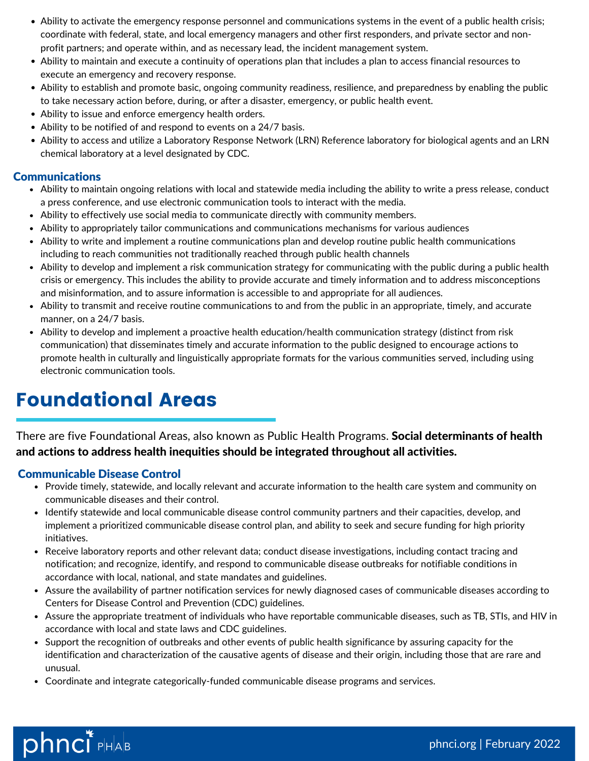- Ability to activate the emergency response personnel and communications systems in the event of a public health crisis; coordinate with federal, state, and local emergency managers and other first responders, and private sector and nonprofit partners; and operate within, and as necessary lead, the incident management system.
- Ability to maintain and execute a continuity of operations plan that includes a plan to access financial resources to execute an emergency and recovery response.
- Ability to establish and promote basic, ongoing community readiness, resilience, and preparedness by enabling the public to take necessary action before, during, or after a disaster, emergency, or public health event.
- Ability to issue and enforce emergency health orders.
- Ability to be notified of and respond to events on a 24/7 basis.
- Ability to access and utilize a Laboratory Response Network (LRN) Reference laboratory for biological agents and an LRN chemical laboratory at a level designated by CDC.

## Communications

- Ability to maintain ongoing relations with local and statewide media including the ability to write a press release, conduct a press conference, and use electronic communication tools to interact with the media.
- Ability to effectively use social media to communicate directly with community members.
- Ability to appropriately tailor communications and communications mechanisms for various audiences
- Ability to write and implement a routine communications plan and develop routine public health communications including to reach communities not traditionally reached through public health channels
- Ability to develop and implement a risk communication strategy for communicating with the public during a public health crisis or emergency. This includes the ability to provide accurate and timely information and to address misconceptions and misinformation, and to assure information is accessible to and appropriate for all audiences.
- Ability to transmit and receive routine communications to and from the public in an appropriate, timely, and accurate manner, on a 24/7 basis.
- Ability to develop and implement a proactive health education/health communication strategy (distinct from risk communication) that disseminates timely and accurate information to the public designed to encourage actions to promote health in culturally and linguistically appropriate formats for the various communities served, including using electronic communication tools.

# Foundational Areas

There are five Foundational Areas, also known as Public Health Programs. Social determinants of health and actions to address health inequities should be integrated throughout all activities.

# Communicable Disease Control

- Provide timely, statewide, and locally relevant and accurate information to the health care system and community on communicable diseases and their control.
- Identify statewide and local communicable disease control community partners and their capacities, develop, and implement a prioritized communicable disease control plan, and ability to seek and secure funding for high priority initiatives.
- Receive laboratory reports and other relevant data; conduct disease investigations, including contact tracing and notification; and recognize, identify, and respond to communicable disease outbreaks for notifiable conditions in accordance with local, national, and state mandates and guidelines.
- Assure the availability of partner notification services for newly diagnosed cases of communicable diseases according to Centers for Disease Control and Prevention (CDC) guidelines.
- Assure the appropriate treatment of individuals who have reportable communicable diseases, such as TB, STIs, and HIV in accordance with local and state laws and CDC guidelines.
- Support the recognition of outbreaks and other events of public health significance by assuring capacity for the identification and characterization of the causative agents of disease and their origin, including those that are rare and unusual.
- Coordinate and integrate categorically-funded communicable disease programs and services.